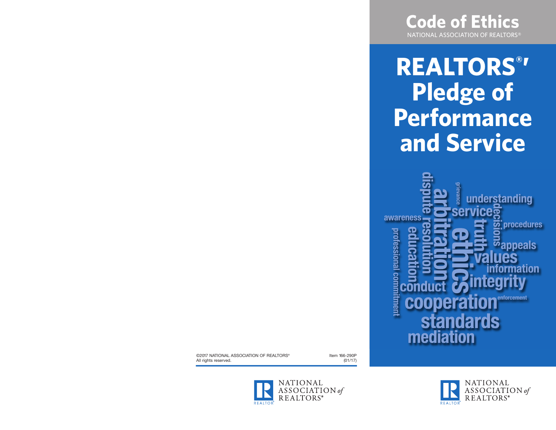

**REALTORS® ' Pledge of Performance and Service**



©2017 NATIONAL ASSOCIATION OF REALTORS® All rights reserved.

Item 166-290P (01/17)